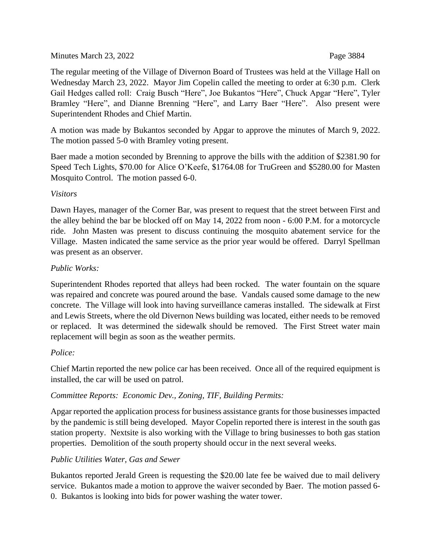## Minutes March 23, 2022 **Page 3884**

The regular meeting of the Village of Divernon Board of Trustees was held at the Village Hall on Wednesday March 23, 2022. Mayor Jim Copelin called the meeting to order at 6:30 p.m. Clerk Gail Hedges called roll: Craig Busch "Here", Joe Bukantos "Here", Chuck Apgar "Here", Tyler Bramley "Here", and Dianne Brenning "Here", and Larry Baer "Here". Also present were Superintendent Rhodes and Chief Martin.

A motion was made by Bukantos seconded by Apgar to approve the minutes of March 9, 2022. The motion passed 5-0 with Bramley voting present.

Baer made a motion seconded by Brenning to approve the bills with the addition of \$2381.90 for Speed Tech Lights, \$70.00 for Alice O'Keefe, \$1764.08 for TruGreen and \$5280.00 for Masten Mosquito Control. The motion passed 6-0.

## *Visitors*

Dawn Hayes, manager of the Corner Bar, was present to request that the street between First and the alley behind the bar be blocked off on May 14, 2022 from noon - 6:00 P.M. for a motorcycle ride. John Masten was present to discuss continuing the mosquito abatement service for the Village. Masten indicated the same service as the prior year would be offered. Darryl Spellman was present as an observer.

## *Public Works:*

Superintendent Rhodes reported that alleys had been rocked. The water fountain on the square was repaired and concrete was poured around the base. Vandals caused some damage to the new concrete. The Village will look into having surveillance cameras installed. The sidewalk at First and Lewis Streets, where the old Divernon News building was located, either needs to be removed or replaced. It was determined the sidewalk should be removed. The First Street water main replacement will begin as soon as the weather permits.

# *Police:*

Chief Martin reported the new police car has been received. Once all of the required equipment is installed, the car will be used on patrol.

# *Committee Reports: Economic Dev., Zoning, TIF, Building Permits:*

Apgar reported the application process for business assistance grants for those businesses impacted by the pandemic is still being developed. Mayor Copelin reported there is interest in the south gas station property. Nextsite is also working with the Village to bring businesses to both gas station properties. Demolition of the south property should occur in the next several weeks.

# *Public Utilities Water, Gas and Sewer*

Bukantos reported Jerald Green is requesting the \$20.00 late fee be waived due to mail delivery service. Bukantos made a motion to approve the waiver seconded by Baer. The motion passed 6- 0. Bukantos is looking into bids for power washing the water tower.